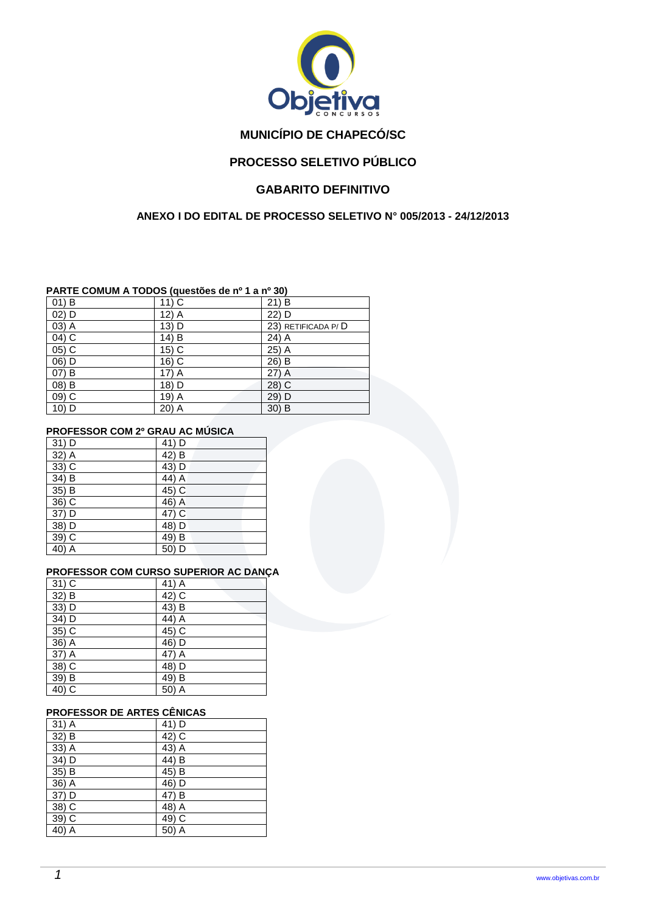

# **MUNICÍPIO DE CHAPECÓ/SC**

# **PROCESSO SELETIVO PÚBLICO**

# **GABARITO DEFINITIVO**

## **ANEXO I DO EDITAL DE PROCESSO SELETIVO N° 005/2013 - 24/12/2013**

## **PARTE COMUM A TODOS (questões de nº 1 a nº 30)**

| $01)$ B | $11)$ C | 21) B              |
|---------|---------|--------------------|
| 02) D   | 12) A   | 22) D              |
| 03) A   | 13) D   | 23) RETIFICADA P/D |
| 04) C   | 14) B   | 24) A              |
| 05) C   | 15) C   | 25) A              |
| 06) D   | 16) C   | 26) B              |
| 07) B   | 17) A   | $27)$ A            |
| 08) B   | 18) D   | 28) C              |
| 09) C   | 19) A   | 29) D              |
| 10) D   | 20) A   | $30)$ B            |

#### **PROFESSOR COM 2º GRAU AC MÚSICA**

| 31) D | 41) D |
|-------|-------|
| 32) A | 42) B |
| 33) C | 43) D |
| 34) B | 44) A |
| 35) B | 45) C |
| 36) C | 46) A |
| 37) D | 47) C |
| 38) D | 48) D |
| 39) C | 49) B |
| 40) A | 50) D |

### **PROFESSOR COM CURSO SUPERIOR AC DANÇA**

| $31)$ C | 41) A |
|---------|-------|
| 32) B   | 42) C |
| 33) D   | 43) B |
| 34) D   | 44) A |
| 35) C   | 45) C |
| 36) A   | 46) D |
| 37) A   | 47) A |
| 38) C   | 48) D |
| 39) B   | 49) B |
| 40) C   | 50) A |

## **PROFESSOR DE ARTES CÊNICAS**

| $31)$ A | 41) D |
|---------|-------|
| 32) B   | 42) C |
| 33) A   | 43) A |
| 34) D   | 44) B |
| 35) B   | 45) B |
| 36) A   | 46) D |
| 37) D   | 47) B |
| 38) C   | 48) A |
| 39) C   | 49) C |
| 40) A   | 50) A |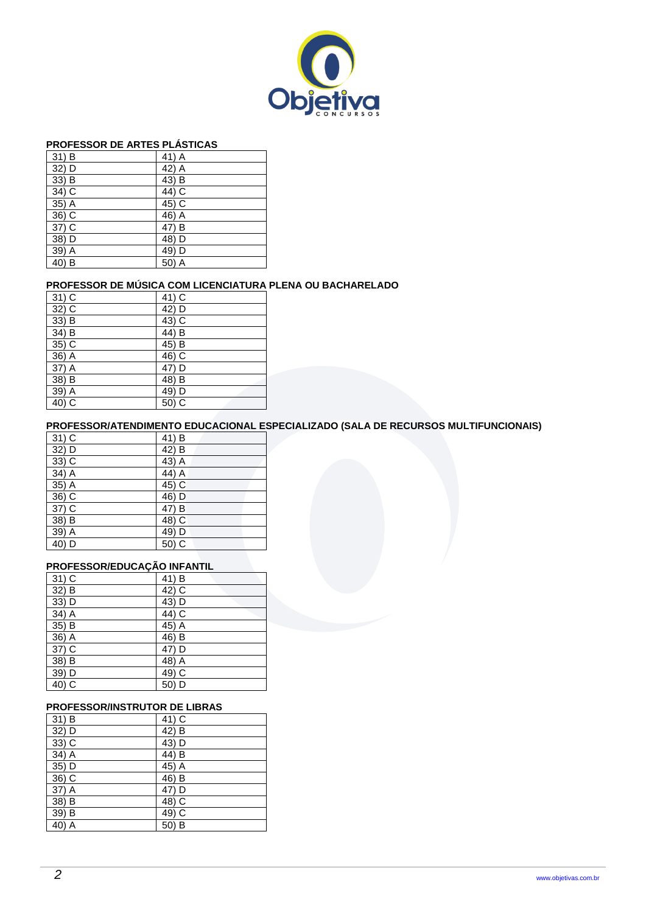

### **PROFESSOR DE ARTES PLÁSTICAS**

| $31)$ B | 41) A               |
|---------|---------------------|
| 32) D   | 42) A               |
| 33) B   | 43) B               |
| 34) C   | 44) C               |
| 35) A   | 45) C               |
| 36) C   | 46) A               |
| 37) C   | 47) B               |
| 38) D   | 48) D               |
| 39) A   | 49) D               |
| 40) B   | 50)<br>$\mathsf{A}$ |

## **PROFESSOR DE MÚSICA COM LICENCIATURA PLENA OU BACHARELADO**

| $31)$ C | 41) C |
|---------|-------|
| 32) C   | 42) D |
| 33) B   | 43) C |
| 34) B   | 44) B |
| 35) C   | 45) B |
| 36) A   | 46) C |
| 37) A   | 47) D |
| $38)$ B | 48) B |
| 39) A   | 49) D |
| 40) C   | 50) C |

## **PROFESSOR/ATENDIMENTO EDUCACIONAL ESPECIALIZADO (SALA DE RECURSOS MULTIFUNCIONAIS)**

| $31)$ C | 41) B |
|---------|-------|
| 32) D   | 42) B |
| 33) C   | 43) A |
| 34) A   | 44) A |
| 35) A   | 45) C |
| 36) C   | 46) D |
| 37) C   | 47) B |
| 38) B   | 48) C |
| 39) A   | 49) D |
| 40) D   | 50) C |

## **PROFESSOR/EDUCAÇÃO INFANTIL**

| $31)$ C | 41) B |
|---------|-------|
| 32) B   | 42) C |
| 33) D   | 43) D |
| 34) A   | 44) C |
| 35) B   | 45) A |
| 36) A   | 46) B |
| 37) C   | 47) D |
| 38) B   | 48) A |
| 39) D   | 49) C |
| 40) C   | 50) D |

## **PROFESSOR/INSTRUTOR DE LIBRAS**

| $31)$ B | 41) C |
|---------|-------|
| 32) D   | 42) B |
| 33) C   | 43) D |
| 34) A   | 44) B |
| 35) D   | 45) A |
| 36) C   | 46) B |
| 37) A   | 47) D |
| 38) B   | 48) C |
| 39) B   | 49) C |
| 40) A   | 50) B |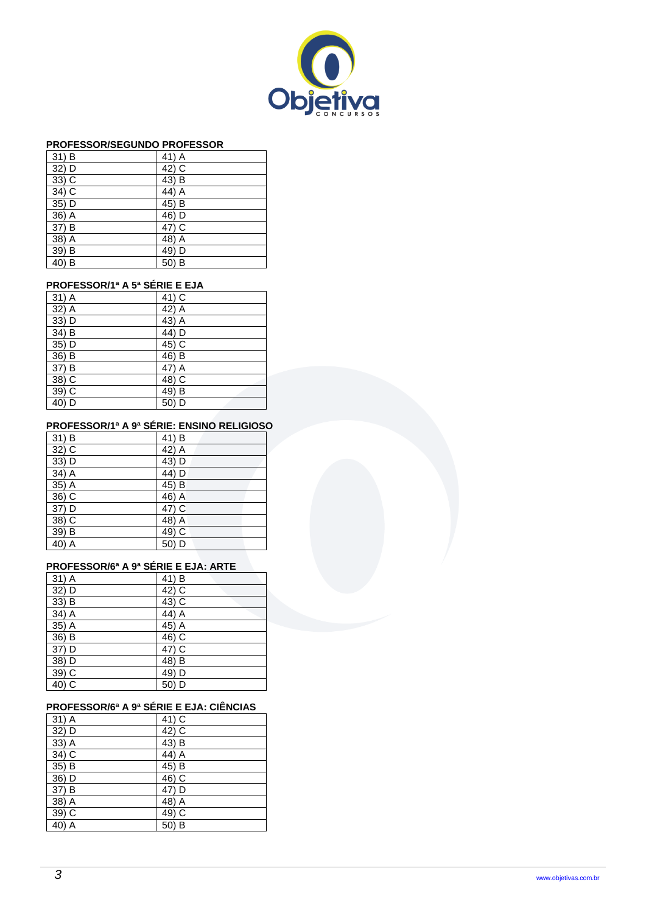

#### **PROFESSOR/SEGUNDO PROFESSOR**

| 31) B | 41) A    |
|-------|----------|
| 32) D | 42) C    |
| 33) C | 43) B    |
| 34) C | 44) A    |
| 35) D | 45) B    |
| 36) A | 46) D    |
| 37) B | 47) C    |
| 38) A | 48) A    |
| 39) B | 49) D    |
| 40) B | B<br>50) |

## **PROFESSOR/1ª A 5ª SÉRIE E EJA**

| 31) A | 41) C |
|-------|-------|
| 32) A | 42) A |
| 33) D | 43) A |
| 34) B | 44) D |
| 35) D | 45) C |
| 36) B | 46) B |
| 37) B | 47) A |
| 38) C | 48) C |
| 39) C | 49) B |
| 40) D | 50) D |

# **PROFESSOR/1ª A 9ª SÉRIE: ENSINO RELIGIOSO**

| 31) B | 41) B |
|-------|-------|
| 32) C | 42) A |
| 33) D | 43) D |
| 34) A | 44) D |
| 35) A | 45) B |
| 36) C | 46) A |
| 37) D | 47) C |
| 38) C | 48) A |
| 39) B | 49) C |
| 40) A | 50) D |

## **PROFESSOR/6ª A 9ª SÉRIE E EJA: ARTE**

| 31) A | 41) B |
|-------|-------|
| 32) D | 42) C |
| 33) B | 43) C |
| 34) A | 44) A |
| 35) A | 45) A |
| 36) B | 46) C |
| 37) D | 47) C |
| 38) D | 48) B |
| 39) C | 49) D |
| 40) C | 50) D |

## **PROFESSOR/6ª A 9ª SÉRIE E EJA: CIÊNCIAS**

| 31) A | 41) C |
|-------|-------|
| 32) D | 42) C |
| 33) A | 43) B |
| 34) C | 44) A |
| 35) B | 45) B |
| 36) D | 46) C |
| 37) B | 47) D |
| 38) A | 48) A |
| 39) C | 49) C |
| 40) A | 50) B |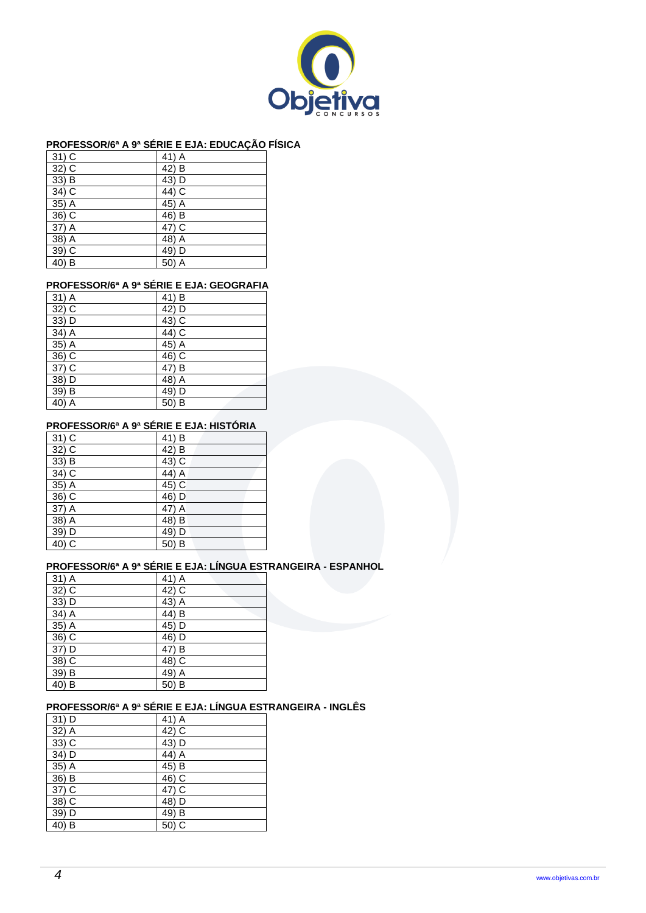

## **PROFESSOR/6ª A 9ª SÉRIE E EJA: EDUCAÇÃO FÍSICA**

|       | -     |
|-------|-------|
| 31) C | 41) A |
| 32) C | 42) B |
| 33) B | 43) D |
| 34) C | 44) C |
| 35) A | 45) A |
| 36) C | 46) B |
| 37) A | 47) C |
| 38) A | 48) A |
| 39) C | 49) D |
| 40) B | 50) A |

## **PROFESSOR/6ª A 9ª SÉRIE E EJA: GEOGRAFIA**

| 31) A   | 41) B |
|---------|-------|
| $32)$ C | 42) D |
| 33) D   | 43) C |
| 34) A   | 44) C |
| 35) A   | 45) A |
| 36) C   | 46) C |
| 37) C   | 47) B |
| 38) D   | 48) A |
| 39) B   | 49) D |
| 40) A   | 50) B |

### **PROFESSOR/6ª A 9ª SÉRIE E EJA: HISTÓRIA**

| 31) C   | 41) B |
|---------|-------|
| $32)$ C | 42) B |
| 33) B   | 43) C |
| 34) C   | 44) A |
| 35) A   | 45) C |
| 36) C   | 46) D |
| 37) A   | 47) A |
| 38) A   | 48) B |
| 39) D   | 49) D |
| 40) C   | 50) B |

## **PROFESSOR/6ª A 9ª SÉRIE E EJA: LÍNGUA ESTRANGEIRA - ESPANHOL**

| $31)$ A | 41) A |
|---------|-------|
| $32)$ C | 42) C |
| 33) D   | 43) A |
| 34) A   | 44) B |
| 35) A   | 45) D |
| 36) C   | 46) D |
| 37) D   | 47) B |
| 38) C   | 48) C |
| 39) B   | 49) A |
| 40) B   | 50) B |

## **PROFESSOR/6ª A 9ª SÉRIE E EJA: LÍNGUA ESTRANGEIRA - INGLÊS**

| 31) D | 41) A |
|-------|-------|
| 32) A | 42) C |
| 33) C | 43) D |
| 34) D | 44) A |
| 35) A | 45) B |
| 36) B | 46) C |
| 37) C | 47) C |
| 38) C | 48) D |
| 39) D | 49) B |
| 40) B | 50) C |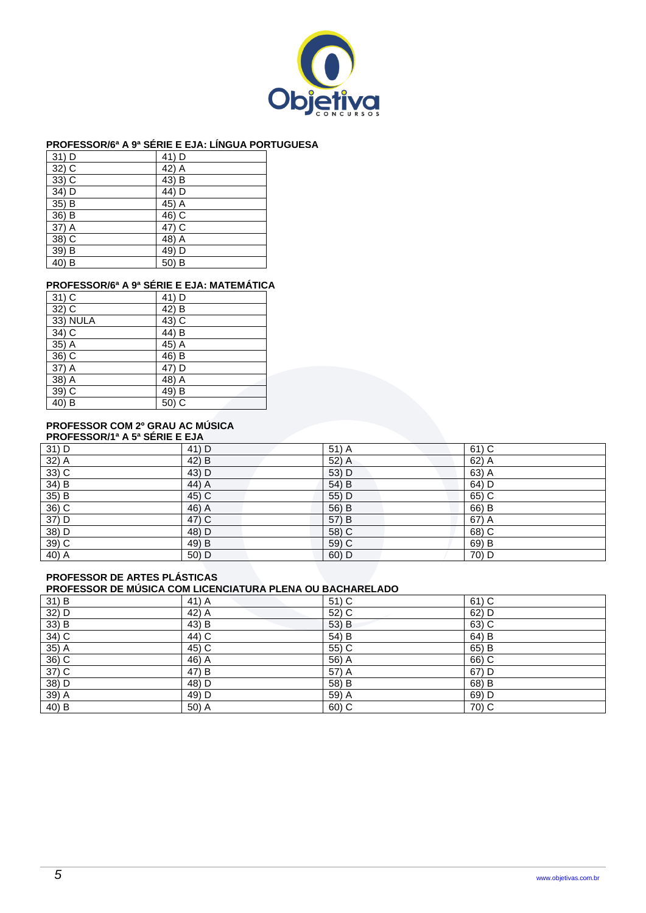

## **PROFESSOR/6ª A 9ª SÉRIE E EJA: LÍNGUA PORTUGUESA**

| $31)$ D | 41) D    |
|---------|----------|
| 32) C   | 42) A    |
| 33) C   | 43) B    |
| 34) D   | 44) D    |
| 35) B   | 45) A    |
| 36) B   | 46) C    |
| 37) A   | 47) C    |
| 38) C   | 48) A    |
| 39) B   | 49) D    |
| 40) B   | B<br>50) |

## **PROFESSOR/6ª A 9ª SÉRIE E EJA: MATEMÁTICA**

| 31) C    | 41) D |
|----------|-------|
| 32) C    | 42) B |
| 33) NULA | 43) C |
| 34) C    | 44) B |
| 35) A    | 45) A |
| 36) C    | 46) B |
| 37) A    | 47) D |
| 38) A    | 48) A |
| 39) C    | 49) B |
| 40) B    | 50) C |

## **PROFESSOR COM 2º GRAU AC MÚSICA**

| <b>PROFESSOR/1ª A 5ª SÉRIE E EJA</b> |       |         |         |  |
|--------------------------------------|-------|---------|---------|--|
| 31) D                                | 41) D | $51)$ A | $61)$ C |  |
| 32) A                                | 42) B | 52) A   | 62) A   |  |
| $33)$ C                              | 43) D | 53) D   | 63) A   |  |
| 34) B                                | 44) A | 54) B   | 64) D   |  |
| 35) B                                | 45) C | 55) D   | 65) C   |  |
| 36) C                                | 46) A | 56) B   | 66) B   |  |
| 37) D                                | 47) C | 57) B   | 67) A   |  |
| 38) D                                | 48) D | 58) C   | $68)$ C |  |
| 39) C                                | 49) B | 59) C   | 69) B   |  |
| 40) A                                | 50) D | $60)$ D | 70) D   |  |

### **PROFESSOR DE ARTES PLÁSTICAS PROFESSOR DE MÚSICA COM LICENCIATURA PLENA OU BACHARELADO**

| 31) B             | 41) A   | 51) C | 61) C   |
|-------------------|---------|-------|---------|
| $\frac{32}{33}$ B | $42)$ A | 52) C | 62) D   |
|                   | 43) B   | 53) B | $63)$ C |
| $34)$ C           | $44)$ C | 54) B | 64) B   |
| $35)$ A           | $45)$ C | 55) C | 65) B   |
| $36)$ C           | $46)$ A | 56) A | 66) C   |
| $37)$ C           | 47) B   | 57) A | $67)$ D |
| 38) D             | 48) D   | 58) B | 68) B   |
| 39) A             | $49)$ D | 59) A | $69)$ D |
| $40)$ B           | $50)$ A | 60) C | $70)$ C |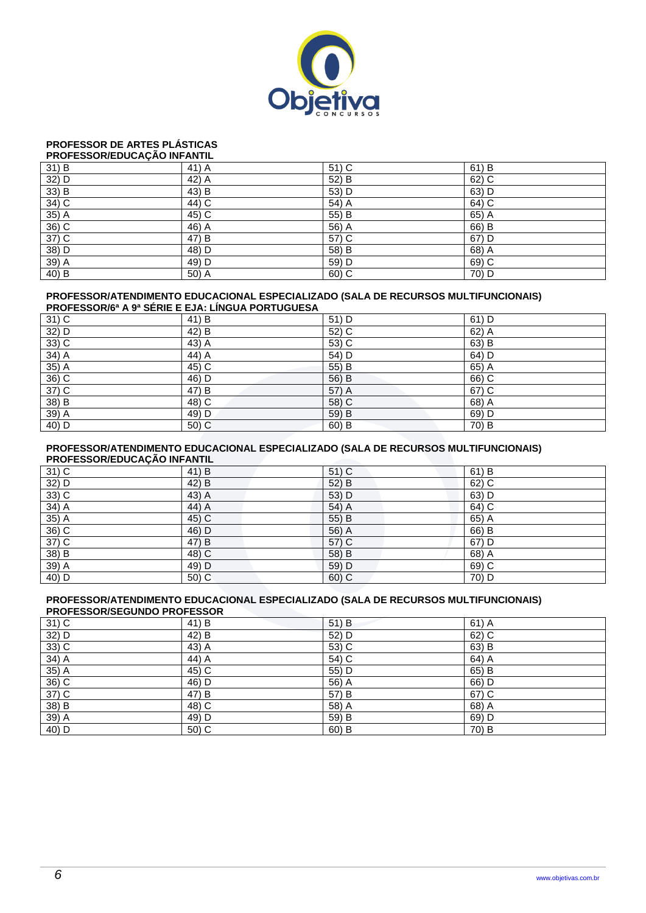

### **PROFESSOR DE ARTES PLÁSTICAS**

| PROFESSOR/EDUCAÇÃO INFANTIL |       |         |         |  |
|-----------------------------|-------|---------|---------|--|
| 31) B                       | 41) A | 51) C   | $61)$ B |  |
| 32) D                       | 42) A | 52) B   | 62) C   |  |
| 33) B                       | 43) B | 53) D   | 63) D   |  |
| 34) C                       | 44) C | 54) A   | 64) C   |  |
| 35) A                       | 45) C | 55) B   | 65) A   |  |
| 36) C                       | 46) A | 56) A   | 66) B   |  |
| 37) C                       | 47) B | 57) C   | $67)$ D |  |
| 38) D                       | 48) D | 58) B   | 68) A   |  |
| 39) A                       | 49) D | 59) D   | 69) C   |  |
| 40) B                       | 50) A | $60)$ C | 70) D   |  |

#### **PROFESSOR/ATENDIMENTO EDUCACIONAL ESPECIALIZADO (SALA DE RECURSOS MULTIFUNCIONAIS) PROFESSOR/6ª A 9ª SÉRIE E EJA: LÍNGUA PORTUGUESA**

| TINOI LOOOIWO AJ OLINE E LOA. EINOOAT OINTOODEOA |       |         |         |  |
|--------------------------------------------------|-------|---------|---------|--|
| $31)$ C                                          | 41) B | 51) D   | 61) D   |  |
| 32) D                                            | 42) B | 52) C   | 62) A   |  |
| 33) C                                            | 43) A | 53) C   | 63) B   |  |
| 34) A                                            | 44) A | 54) D   | 64) D   |  |
| 35) A                                            | 45) C | 55) B   | 65) A   |  |
| $36)$ C                                          | 46) D | 56) B   | $66)$ C |  |
| 37) C                                            | 47) B | 57) A   | 67) C   |  |
| 38) B                                            | 48) C | 58) C   | 68) A   |  |
| 39) A                                            | 49) D | 59) B   | 69) D   |  |
| 40) D                                            | 50) C | $60)$ B | 70) B   |  |

#### **PROFESSOR/ATENDIMENTO EDUCACIONAL ESPECIALIZADO (SALA DE RECURSOS MULTIFUNCIONAIS) PROFESSOR/EDUCAÇÃO INFANTIL**

| $\ldots$ |         |         |       |  |
|----------|---------|---------|-------|--|
| 31) C    | 41) B   | $51)$ C | 61) B |  |
| 32) D    | 42) B   | 52) B   | 62) C |  |
| $33)$ C  | 43) A   | 53) D   | 63) D |  |
| $34)$ A  | 44) A   | 54) A   | 64) C |  |
| 35) A    | 45) C   | 55) B   | 65) A |  |
| 36) C    | 46) D   | 56) A   | 66) B |  |
| 37) C    | 47) B   | 57) C   | 67) D |  |
| 38) B    | 48) C   | 58) B   | 68) A |  |
| $39)$ A  | 49) D   | 59) D   | 69) C |  |
| 40) D    | $50)$ C | 60) C   | 70) D |  |

#### **PROFESSOR/ATENDIMENTO EDUCACIONAL ESPECIALIZADO (SALA DE RECURSOS MULTIFUNCIONAIS) PROFESSOR/SEGUNDO PROFESSOR**

| 31) C | 41) B | 51) B   | $61)$ A |  |  |
|-------|-------|---------|---------|--|--|
| 32) D | 42) B | 52) D   | 62) C   |  |  |
| 33) C | 43) A | 53) C   | 63) B   |  |  |
| 34) A | 44) A | 54) C   | 64) A   |  |  |
| 35) A | 45) C | 55) D   | 65) B   |  |  |
| 36) C | 46) D | 56) A   | 66) D   |  |  |
| 37) C | 47) B | 57) B   | 67) C   |  |  |
| 38) B | 48) C | 58) A   | 68) A   |  |  |
| 39) A | 49) D | 59) B   | 69) D   |  |  |
| 40) D | 50) C | $60)$ B | 70) B   |  |  |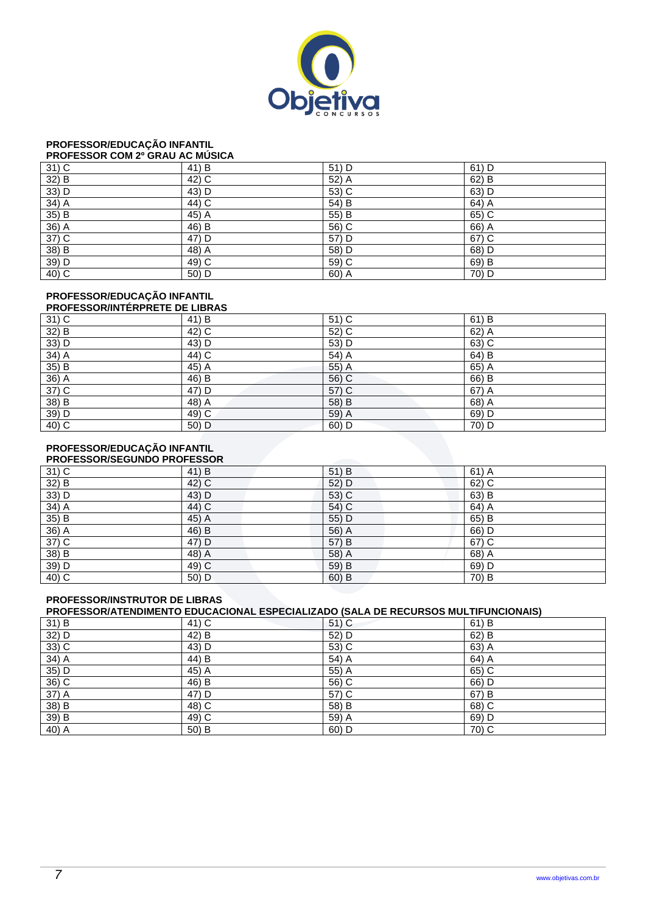

## **PROFESSOR/EDUCAÇÃO INFANTIL**

#### **PROFESSOR COM 2º GRAU AC MÚSICA**

| $31)$ C | 41) B              | 51) D   | $61)$ D |
|---------|--------------------|---------|---------|
| 32) B   | 42) C              | 52) A   | 62) B   |
| 33) D   | 43) D              | $53)$ C | 63) D   |
| $34)$ A | 44) C              | 54) B   | 64) A   |
| 35) B   | 45) A              | 55) B   | 65) C   |
| $36)$ A | 46) B              | 56) C   | $66)$ A |
| $37)$ C | 47) D              | 57) D   | 67) C   |
| $38)$ B | 48) $\overline{A}$ | 58) D   | 68) D   |
| 39) D   | 49) C              | 59) C   | 69) B   |
| 40) C   | 50) D              | 60) A   | 70) D   |

#### **PROFESSOR/EDUCAÇÃO INFANTIL**

| <b>PROFESSOR/INTERPRETE DE LIBRAS</b> |       |         |         |  |
|---------------------------------------|-------|---------|---------|--|
| $31)$ C                               | 41) B | $51)$ C | 61) B   |  |
| 32) B                                 | 42) C | 52) C   | $62)$ A |  |
| 33) D                                 | 43) D | 53) D   | 63) C   |  |
| 34) A                                 | 44) C | 54) A   | 64) B   |  |
| 35) B                                 | 45) A | 55) A   | 65) A   |  |
| 36) A                                 | 46) B | 56) C   | 66) B   |  |
| 37) C                                 | 47) D | 57) C   | 67) A   |  |
| 38) B                                 | 48) A | 58) B   | 68) A   |  |
| 39) D                                 | 49) C | 59) A   | 69) D   |  |
| 40) C                                 | 50) D | 60) D   | 70) D   |  |

## **PROFESSOR/EDUCAÇÃO INFANTIL**

| <b>PROFESSOR/SEGUNDO PROFESSOR</b> |       |         |         |  |
|------------------------------------|-------|---------|---------|--|
| $31)$ C                            | 41) B | $51$ B  | $61)$ A |  |
| 32) B                              | 42) C | 52) D   | $62)$ C |  |
| 33) D                              | 43) D | 53) C   | 63) B   |  |
| 34) A                              | 44) C | 54) C   | 64) A   |  |
| 35) B                              | 45) A | 55) D   | 65) B   |  |
| 36) A                              | 46) B | 56) A   | 66) D   |  |
| $37)$ C                            | 47) D | 57) B   | 67) C   |  |
| 38) B                              | 48) A | 58) A   | 68) A   |  |
| 39) D                              | 49) C | 59) B   | 69) D   |  |
| 40) C                              | 50) D | $60)$ B | 70) B   |  |

#### **PROFESSOR/INSTRUTOR DE LIBRAS**

**PROFESSOR/ATENDIMENTO EDUCACIONAL ESPECIALIZADO (SALA DE RECURSOS MULTIFUNCIONAIS)** 

| 31) B   | 41) C   | $51)$ C | $61)$ B |
|---------|---------|---------|---------|
| 32) D   | 42) B   | 52) D   | 62) B   |
| $33)$ C | 43) D   | 53) C   | 63) A   |
| $34)$ A | 44) B   | 54) A   | 64) A   |
| 35) D   | $45)$ A | 55) A   | $65)$ C |
| $36)$ C | 46) B   | $56)$ C | 66) D   |
| $37)$ A | 47) D   | 57) C   | 67) B   |
| 38) B   | $48)$ C | 58) B   | 68) C   |
| 39) B   | $49)$ C | 59) A   | $69)$ D |
| 40) A   | 50) B   | 60) D   | 70) C   |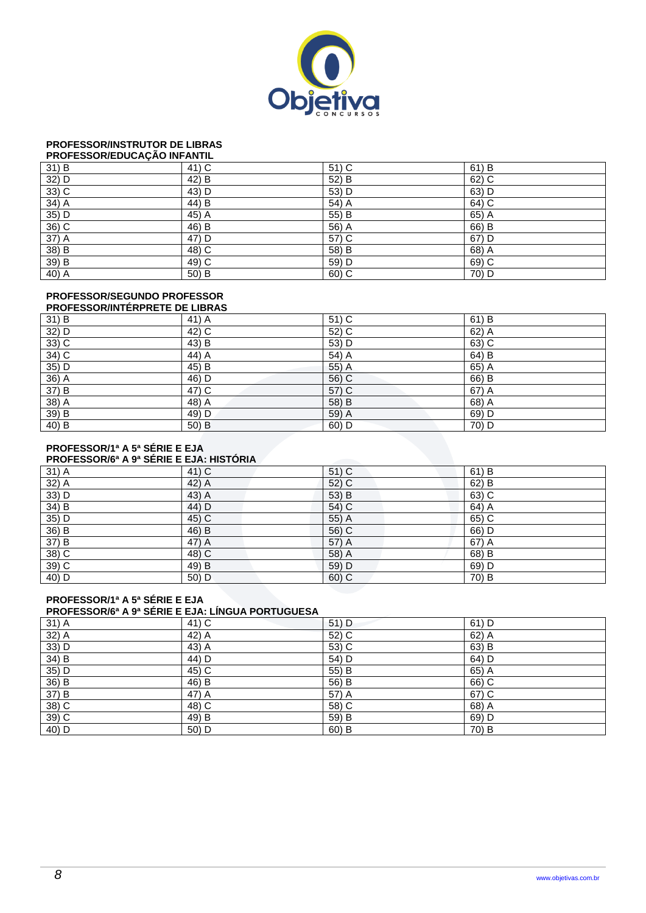

## **PROFESSOR/INSTRUTOR DE LIBRAS**

| PROFESSOR/EDUCAÇÃO INFANTIL |  |
|-----------------------------|--|
|                             |  |

| 31) B   | 41) C | 51) C   | 61) B   |
|---------|-------|---------|---------|
| 32) D   | 42) B | 52) B   | 62) C   |
| $33)$ C | 43) D | 53) D   | 63) D   |
| $34)$ A | 44) B | $54)$ A | $64)$ C |
| 35) D   | 45) A | 55) B   | 65) A   |
| $36)$ C | 46) B | 56) A   | 66) B   |
| $37)$ A | 47) D | 57) C   | 67) D   |
| 38) B   | 48) C | 58) B   | 68) A   |
| 39) B   | 49) C | 59) D   | 69) C   |
| 40) A   | 50) B | 60) C   | 70) D   |

## **PROFESSOR/SEGUNDO PROFESSOR**

| <b>PROFESSOR/INTERPRETE DE LIBRAS</b> |       |         |         |  |
|---------------------------------------|-------|---------|---------|--|
| 31) B                                 | 41) A | 51) C   | 61) B   |  |
| 32) D                                 | 42) C | 52) C   | $62)$ A |  |
| $33)$ C                               | 43) B | 53) D   | 63) C   |  |
| 34) C                                 | 44) A | 54) A   | 64) B   |  |
| $35)$ D                               | 45) B | 55) A   | 65) A   |  |
| 36) A                                 | 46) D | 56) C   | 66) B   |  |
| 37) B                                 | 47) C | 57) C   | 67) A   |  |
| 38) A                                 | 48) A | 58) B   | 68) A   |  |
| 39) B                                 | 49) D | 59) A   | 69) D   |  |
| 40) B                                 | 50) B | $60)$ D | 70) D   |  |

#### **PROFESSOR/1ª A 5ª SÉRIE E EJA**

#### **PROFESSOR/6ª A 9ª SÉRIE E EJA: HISTÓRIA**

| 31) A | 41) C | $51)$ C | 61) B   |  |  |
|-------|-------|---------|---------|--|--|
| 32) A | 42) A | 52) C   | $62)$ B |  |  |
| 33) D | 43) A | 53) B   | 63) C   |  |  |
| 34) B | 44) D | 54) C   | 64) A   |  |  |
| 35) D | 45) C | 55) A   | 65) C   |  |  |
| 36) B | 46) B | 56) C   | 66) D   |  |  |
| 37) B | 47) A | 57) A   | 67) A   |  |  |
| 38) C | 48) C | 58) A   | 68) B   |  |  |
| 39) C | 49) B | 59) D   | 69) D   |  |  |
| 40) D | 50) D | 60) C   | 70) B   |  |  |

#### **PROFESSOR/1ª A 5ª SÉRIE E EJA**

#### **PROFESSOR/6ª A 9ª SÉRIE E EJA: LÍNGUA PORTUGUESA**

| 31) A                               | 41) C   | $51)$ D | $61)$ D |
|-------------------------------------|---------|---------|---------|
| $\frac{32}{33}$ A<br>$\frac{1}{2}$  | $42)$ A | 52) C   | 62) A   |
|                                     | $43)$ A | 53) C   | 63) B   |
| 34) B                               | 44) D   | 54) D   | 64) D   |
| $\frac{35}{36}$ D<br>$\frac{1}{36}$ | $45)$ C | 55) B   | $65)$ A |
|                                     | 46) B   | 56) B   | $66)$ C |
| 37) B                               | $47)$ A | 57) A   | 67) C   |
| 38) C                               | 48) C   | 58) C   | $68)$ A |
| $39)$ C                             | 49) B   | 59) B   | 69) D   |
| 40) D                               | 50) D   | $60)$ B | 70) B   |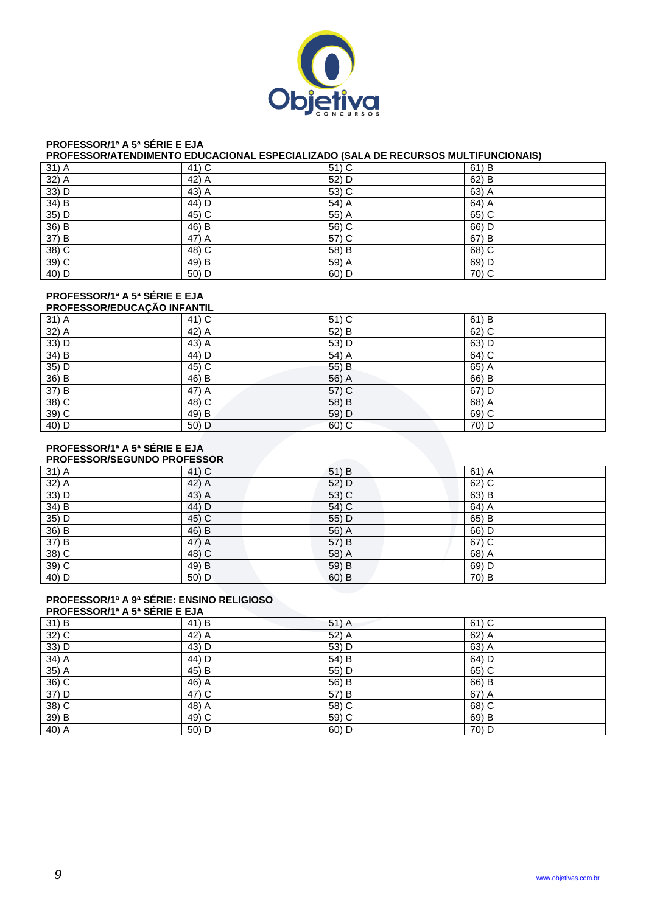

## **PROFESSOR/1ª A 5ª SÉRIE E EJA**

## **PROFESSOR/ATENDIMENTO EDUCACIONAL ESPECIALIZADO (SALA DE RECURSOS MULTIFUNCIONAIS)**

| 31) A   | 41) C   | 51) C | 61) B |
|---------|---------|-------|-------|
| 32) A   | 42) A   | 52) D | 62) B |
| 33) D   | $43)$ A | 53) C | 63) A |
| 34) B   | 44) D   | 54) A | 64) A |
| $35)$ D | $45)$ C | 55) A | 65) C |
| 36) B   | 46) B   | 56) C | 66) D |
| 37) B   | 47) A   | 57) C | 67) B |
| $38)$ C | 48) C   | 58) B | 68) C |
| 39) C   | 49) B   | 59) A | 69) D |
| 40) D   | 50) D   | 60) D | 70) C |

#### **PROFESSOR/1ª A 5ª SÉRIE E EJA**

| <b>PROFESSOR/EDUCAÇÃO INFANTIL</b> |       |         |       |  |
|------------------------------------|-------|---------|-------|--|
| 31) A                              | 41) C | 51) C   | 61) B |  |
| 32) A                              | 42) A | 52) B   | 62) C |  |
| 33) D                              | 43) A | 53) D   | 63) D |  |
| $34)$ B                            | 44) D | 54) A   | 64) C |  |
| $35)$ D                            | 45) C | 55) B   | 65) A |  |
| 36) B                              | 46) B | 56) A   | 66) B |  |
| 37) B                              | 47) A | 57) C   | 67) D |  |
| 38) C                              | 48) C | 58) B   | 68) A |  |
| 39) C                              | 49) B | 59) D   | 69) C |  |
| 40) D                              | 50) D | $60)$ C | 70) D |  |

#### **PROFESSOR/1ª A 5ª SÉRIE E EJA**

| <b>PROFESSOR/SEGUNDO PROFESSOR</b> |       |         |         |  |  |
|------------------------------------|-------|---------|---------|--|--|
| 31) A                              | 41) C | 51) B   | $61)$ A |  |  |
| 32) A                              | 42) A | 52) D   | $62)$ C |  |  |
| $33)$ D                            | 43) A | 53) C   | 63) B   |  |  |
| 34) B                              | 44) D | 54) C   | 64) A   |  |  |
| 35) D                              | 45) C | 55) D   | 65) B   |  |  |
| 36) B                              | 46) B | 56) A   | 66) D   |  |  |
| 37) B                              | 47) A | 57) B   | 67) C   |  |  |
| 38) C                              | 48) C | 58) A   | 68) A   |  |  |
| 39) C                              | 49) B | 59) B   | 69) D   |  |  |
| 40) D                              | 50) D | $60)$ B | 70) B   |  |  |

### **PROFESSOR/1ª A 9ª SÉRIE: ENSINO RELIGIOSO**

| <b>PROFESSOR/1ª A 5ª SERIE E EJA</b> |       |         |         |  |
|--------------------------------------|-------|---------|---------|--|
| 31) B                                | 41) B | $51)$ A | $61)$ C |  |
| $32)$ C                              | 42) A | 52) A   | $62)$ A |  |
| 33) D                                | 43) D | 53) D   | 63) A   |  |
| $34)$ A                              | 44) D | 54) B   | 64) D   |  |
| 35) A                                | 45) B | 55) D   | 65) C   |  |
| $36)$ C                              | 46) A | 56) B   | 66) B   |  |
| 37) D                                | 47) C | 57) B   | 67) A   |  |
| $38)$ C                              | 48) A | 58) C   | 68) C   |  |
| 39) B                                | 49) C | 59) C   | 69) B   |  |
| 40) A                                | 50) D | $60)$ D | 70) D   |  |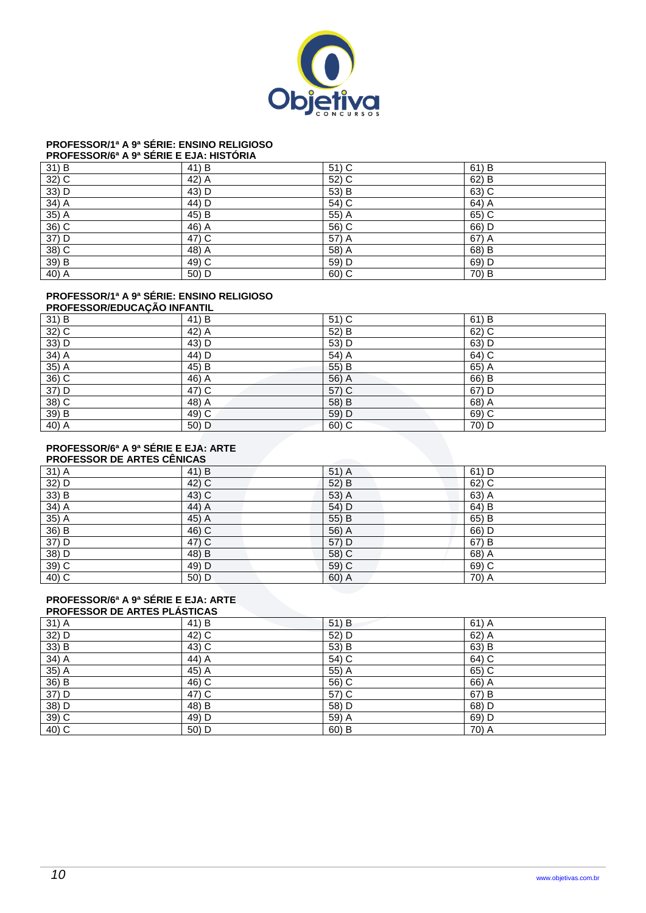

## **PROFESSOR/1ª A 9ª SÉRIE: ENSINO RELIGIOSO**

### **PROFESSOR/6ª A 9ª SÉRIE E EJA: HISTÓRIA**

| 31) B   | 41) B              | $51)$ C | 61) B |
|---------|--------------------|---------|-------|
| $32)$ C | 42) A              | 52) C   | 62) B |
| 33) D   | 43) D              | 53) B   | 63) C |
| $34)$ A | 44) D              | $54)$ C | 64) A |
| 35) A   | 45) B              | 55) A   | 65) C |
| $36)$ C | $46)$ A            | 56) C   | 66) D |
| 37) D   | $47)$ C            | 57) A   | 67) A |
| 38) C   | 48) $\overline{A}$ | 58) A   | 68) B |
| 39) B   | 49) C              | 59) D   | 69) D |
| 40) A   | 50) D              | 60) C   | 70) B |

### **PROFESSOR/1ª A 9ª SÉRIE: ENSINO RELIGIOSO**

| <b>PROFESSOR/EDUCAÇÃO INFANTIL</b> |          |         |       |  |
|------------------------------------|----------|---------|-------|--|
| 31) B                              | $(41)$ B | $51)$ C | 61) B |  |
| $32)$ C                            | 42) A    | 52) B   | 62) C |  |
| 33) D                              | 43) D    | 53) D   | 63) D |  |
| $34)$ A                            | 44) D    | 54) A   | 64) C |  |
| $35)$ A                            | 45) B    | 55) B   | 65) A |  |
| 36) C                              | 46) A    | 56) A   | 66) B |  |
| 37) D                              | 47) C    | 57) C   | 67) D |  |
| $38)$ C                            | 48) A    | 58) B   | 68) A |  |
| 39) B                              | 49) C    | 59) D   | 69) C |  |
| 40) A                              | 50) D    | $60)$ C | 70) D |  |

#### **PROFESSOR/6ª A 9ª SÉRIE E EJA: ARTE PACESSOR**

|         | <b>PROFESSOR DE ARTES CENICAS</b> |       |         |  |  |
|---------|-----------------------------------|-------|---------|--|--|
| $31)$ A | 41) B                             | 51) A | $61)$ D |  |  |
| 32) D   | 42) C                             | 52) B | 62) C   |  |  |
| 33) B   | 43) C                             | 53) A | 63) A   |  |  |
| 34) A   | 44) A                             | 54) D | 64) B   |  |  |
| $35)$ A | 45) A                             | 55) B | 65) B   |  |  |
| 36) B   | 46) C                             | 56) A | 66) D   |  |  |
| 37) D   | 47) C                             | 57) D | 67) B   |  |  |
| 38) D   | 48) B                             | 58) C | 68) A   |  |  |
| $39)$ C | 49) D                             | 59) C | 69) C   |  |  |
| 40) C   | 50) D                             | 60) A | 70) A   |  |  |

## **PROFESSOR/6ª A 9ª SÉRIE E EJA: ARTE**

| <b>PROFESSOR DE ARTES PLASTICAS</b> |       |       |         |  |
|-------------------------------------|-------|-------|---------|--|
| 31) A                               | 41) B | 51) B | $61)$ A |  |
| 32) D                               | 42) C | 52) D | 62) A   |  |
| 33) B                               | 43) C | 53) B | 63) B   |  |
| 34) A                               | 44) A | 54) C | 64) C   |  |
| 35) A                               | 45) A | 55) A | 65) C   |  |
| 36) B                               | 46) C | 56) C | 66) A   |  |
| 37) D                               | 47) C | 57) C | 67) B   |  |
| $38)$ D                             | 48) B | 58) D | 68) D   |  |
| 39) C                               | 49) D | 59) A | 69) D   |  |
| 40) C                               | 50) D | 60) B | 70) A   |  |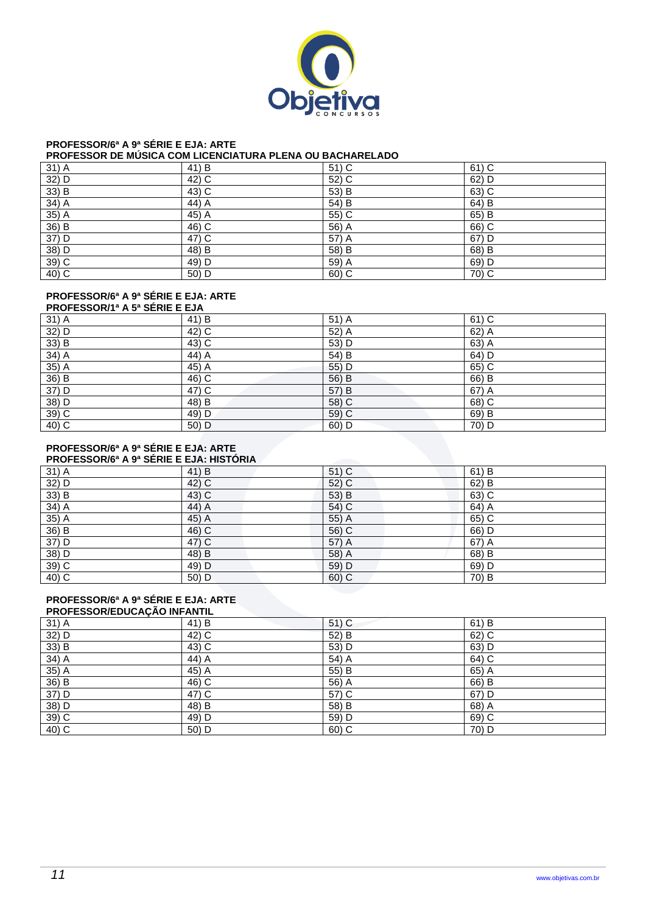

## **PROFESSOR/6ª A 9ª SÉRIE E EJA: ARTE**

#### **PROFESSOR DE MÚSICA COM LICENCIATURA PLENA OU BACHARELADO**

| 31) A   | 41) B   | 51) C | 61) C   |
|---------|---------|-------|---------|
| 32) D   | $42)$ C | 52) C | 62) D   |
| 33) B   | $43)$ C | 53) B | 63) C   |
| 34) A   | 44) A   | 54) B | 64) B   |
| $35)$ A | 45) A   | 55) C | 65) B   |
| 36) B   | $46)$ C | 56) A | $66)$ C |
| 37) D   | $47)$ C | 57) A | $67)$ D |
| 38) D   | 48) B   | 58) B | 68) B   |
| $39)$ C | 49) D   | 59) A | 69) D   |
| $40)$ C | 50) D   | 60) C | $70)$ C |

#### **PROFESSOR/6ª A 9ª SÉRIE E EJA: ARTE**

| <b>PROFESSOR/1ª A 5ª SÉRIE E EJA</b> |       |         |         |  |
|--------------------------------------|-------|---------|---------|--|
| 31) A                                | 41) B | 51) A   | 61) C   |  |
| 32) D                                | 42) C | 52) A   | $62)$ A |  |
| 33) B                                | 43) C | 53) D   | 63) A   |  |
| 34) A                                | 44) A | 54) B   | 64) D   |  |
| $35)$ A                              | 45) A | 55) D   | 65) C   |  |
| 36) B                                | 46) C | 56) B   | 66) B   |  |
| 37) D                                | 47) C | 57) B   | 67) A   |  |
| 38) D                                | 48) B | 58) C   | 68) C   |  |
| 39) C                                | 49) D | 59) C   | 69) B   |  |
| 40) C                                | 50) D | $60)$ D | 70) D   |  |

#### **PROFESSOR/6ª A 9ª SÉRIE E EJA: ARTE PROFESSOR/6ª A 9ª SÉRIE E EJA: HISTÓRIA**

|       | <b>TIOL LOODIVE A 3" OLINE L'EJA. HISTOINA</b> |         |       |  |  |
|-------|------------------------------------------------|---------|-------|--|--|
| 31) A | 41) B                                          | $51)$ C | 61) B |  |  |
| 32) D | 42) C                                          | $52)$ C | 62) B |  |  |
| 33) B | 43) C                                          | 53) B   | 63) C |  |  |
| 34) A | 44) A                                          | 54) C   | 64) A |  |  |
| 35) A | 45) A                                          | 55) A   | 65) C |  |  |
| 36) B | 46) C                                          | 56) C   | 66) D |  |  |
| 37) D | 47) C                                          | 57) A   | 67) A |  |  |
| 38) D | 48) B                                          | 58) A   | 68) B |  |  |
| 39) C | 49) D                                          | 59) D   | 69) D |  |  |
| 40) C | 50) D                                          | 60) C   | 70) B |  |  |

#### **PROFESSOR/6ª A 9ª SÉRIE E EJA: ARTE**

|         | <b>PROFESSOR/EDUCAÇÃO INFANTIL</b> |         |       |  |  |
|---------|------------------------------------|---------|-------|--|--|
| 31) A   | 41) B                              | $51)$ C | 61) B |  |  |
| 32) D   | 42) C                              | 52) B   | 62) C |  |  |
| 33) B   | 43) C                              | 53) D   | 63) D |  |  |
| 34) A   | 44) A                              | 54) A   | 64) C |  |  |
| 35) A   | 45) A                              | 55) B   | 65) A |  |  |
| 36) B   | 46) C                              | 56) A   | 66) B |  |  |
| 37) D   | 47) C                              | 57) C   | 67) D |  |  |
| 38) D   | 48) B                              | 58) B   | 68) A |  |  |
| $39)$ C | 49) D                              | 59) D   | 69) C |  |  |
| 40) C   | 50) D                              | $60)$ C | 70) D |  |  |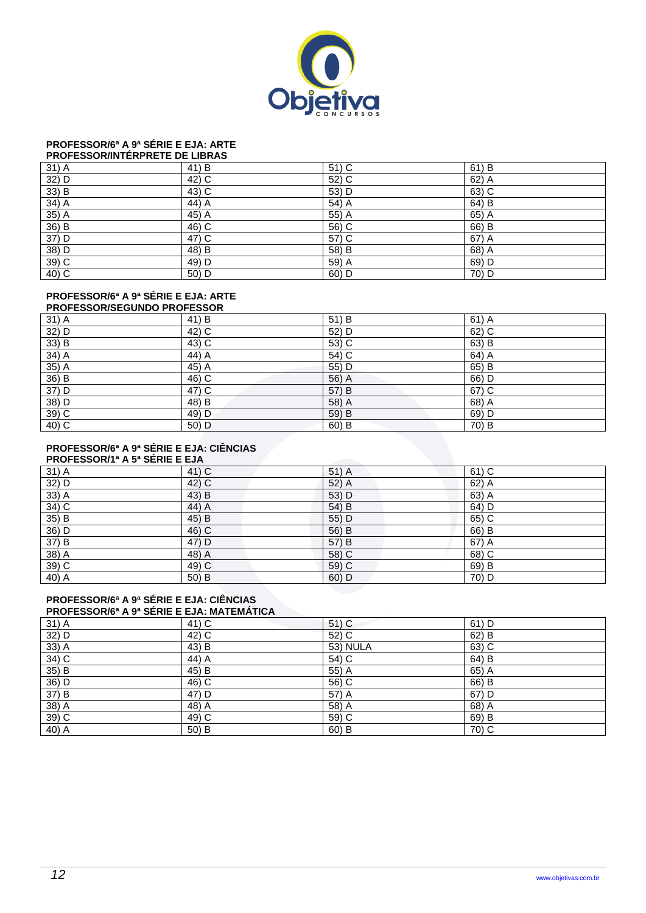

## **PROFESSOR/6ª A 9ª SÉRIE E EJA: ARTE**

| <b>PROFESSOR/INTERPRETE DE LIBRAS</b> |  |
|---------------------------------------|--|
|                                       |  |

|                                    | 41) B   | 51) C   | $61)$ B |
|------------------------------------|---------|---------|---------|
| $\frac{31}{32}$ D<br>$\frac{1}{2}$ | 42) C   | 52) C   | 62) A   |
| 33) B                              | $43)$ C | 53) D   | $63)$ C |
| $34)$ A                            | 44) A   | 54) A   | 64) B   |
| $35)$ A                            | $45)$ A | $55)$ A | $65)$ A |
| 36) B                              | $46)$ C | 56) C   | 66) B   |
| $\overline{37}$ ) D                | $47)$ C | 57) C   | 67) A   |
| 38) D                              | 48) B   | 58) B   | 68) A   |
| $39)$ C                            | $49)$ D | 59) A   | 69) D   |
| 40) C                              | 50) D   | 60) D   | 70) D   |

## **PROFESSOR/6ª A 9ª SÉRIE E EJA: ARTE**

| <b>PROFESSOR/SEGUNDO PROFESSOR</b> |       |         |         |  |  |
|------------------------------------|-------|---------|---------|--|--|
| $31)$ A                            | 41) B | 51) B   | $61)$ A |  |  |
| 32) D                              | 42) C | 52) D   | 62) C   |  |  |
| 33) B                              | 43) C | 53) C   | 63) B   |  |  |
| $34)$ A                            | 44) A | 54) C   | 64) A   |  |  |
| $35)$ A                            | 45) A | 55) D   | 65) B   |  |  |
| 36) B                              | 46) C | 56) A   | 66) D   |  |  |
| 37) D                              | 47) C | 57) B   | 67) C   |  |  |
| 38) D                              | 48) B | 58) A   | 68) A   |  |  |
| 39) C                              | 49) D | 59) B   | 69) D   |  |  |
| 40) C                              | 50) D | $60)$ B | 70) B   |  |  |

#### **PROFESSOR/6ª A 9ª SÉRIE E EJA: CIÊNCIAS**   $P$ **PROPORTIVE**

| <b>FRUFESSURIT A 3- SERIE E EJA</b> |       |       |         |  |  |
|-------------------------------------|-------|-------|---------|--|--|
| 31) A                               | 41) C | 51) A | $61)$ C |  |  |
| $32)$ D                             | 42) C | 52) A | 62) A   |  |  |
| $33)$ A                             | 43) B | 53) D | 63) A   |  |  |
| $34)$ C                             | 44) A | 54) B | 64) D   |  |  |
| 35) B                               | 45) B | 55) D | 65) C   |  |  |
| 36) D                               | 46) C | 56) B | 66) B   |  |  |
| 37) B                               | 47) D | 57) B | 67) A   |  |  |
| $38)$ A                             | 48) A | 58) C | 68) C   |  |  |
| 39) C                               | 49) C | 59) C | 69) B   |  |  |
| 40) A                               | 50) B | 60) D | 70) D   |  |  |

#### **PROFESSOR/6ª A 9ª SÉRIE E EJA: CIÊNCIAS PROFESSOR/6ª A 9ª SÉRIE E EJA: MATEMÁTICA**

| 31) A   | 41) C   | $51)$ C         | 61) D |  |
|---------|---------|-----------------|-------|--|
| 32) D   | 42) C   | 52) C           | 62) B |  |
| $33)$ A | 43) B   | <b>53) NULA</b> | 63) C |  |
| $34)$ C | 44) A   | 54) C           | 64) B |  |
| 35) B   | 45) B   | 55) A           | 65) A |  |
| $36)$ D | $46)$ C | 56) C           | 66) B |  |
| 37) B   | 47) D   | 57) A           | 67) D |  |
| 38) A   | 48) A   | 58) A           | 68) A |  |
| $39)$ C | $49)$ C | 59) C           | 69) B |  |
| $40)$ A | 50) B   | $60)$ B         | 70) C |  |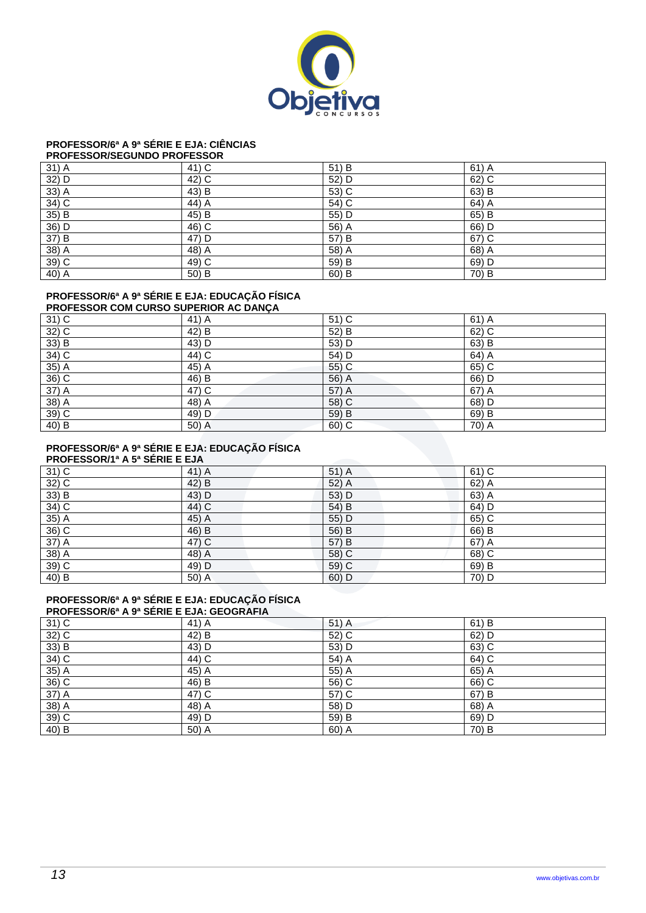

## **PROFESSOR/6ª A 9ª SÉRIE E EJA: CIÊNCIAS**

#### **PROFESSOR/SEGUNDO PROFESSOR**

| 31) A   | 41) C   | 51) B | $61)$ A |
|---------|---------|-------|---------|
| 32) D   | 42) C   | 52) D | 62) C   |
| $33)$ A | 43) B   | 53) C | 63) B   |
| $34)$ C | $44)$ A | 54) C | $64)$ A |
| 35) B   | 45) B   | 55) D | 65) B   |
| $36)$ D | $46)$ C | 56) A | 66) D   |
| 37) B   | $47)$ D | 57) B | $67)$ C |
| 38) A   | $48)$ A | 58) A | 68) A   |
| $39)$ C | 49) C   | 59) B | 69) D   |
| $40)$ A | 50) B   | 60) B | 70) B   |

## **PROFESSOR/6ª A 9ª SÉRIE E EJA: EDUCAÇÃO FÍSICA**

#### **PROFESSOR COM CURSO SUPERIOR AC DANÇA**  31) C  $\begin{array}{|c|c|c|c|c|}\n\hline\n & 41) A & 51) C & 61) A\n\end{array}$ 32) C  $(42)$  B  $(52)$  B  $(62)$  C 33) B  $\begin{pmatrix} 43 \end{pmatrix}$  D  $\begin{pmatrix} 53 \end{pmatrix}$  D  $\begin{pmatrix} 53 \end{pmatrix}$  B 34) C  $\begin{vmatrix} 44 \end{vmatrix}$  C  $\begin{vmatrix} 54 \end{vmatrix}$  D  $\begin{vmatrix} 64 \end{vmatrix}$  A 35) A  $\vert$  45) A 55) C 65) C 36) C 46) B 56) A 66) D 37) A 47) C 57) A 67) A 67) A 38) A 58) A 58) C 58) D 39) C (a) 49) D 59) B 69) B 40) B 50) A 60) C 70) A

### **PROFESSOR/6ª A 9ª SÉRIE E EJA: EDUCAÇÃO FÍSICA**

#### **PROFESSOR/1ª A 5ª SÉRIE E EJA**   $\begin{array}{|c|c|c|c|c|}\n\hline\n31) C & & & \phantom{0} 41) A & & \phantom{0} 51) A & & \phantom{0} 61) C\n\end{array}$ 32) C  $\begin{vmatrix} 42 \end{vmatrix}$  B  $\begin{vmatrix} 52 \end{vmatrix}$  A  $\begin{vmatrix} 62 \end{vmatrix}$  A 33) B  $\begin{pmatrix} 43 \end{pmatrix}$  D  $\begin{pmatrix} 53 \end{pmatrix}$  D  $\begin{pmatrix} 53 \end{pmatrix}$  B  $\begin{pmatrix} 63 \end{pmatrix}$  A 34) C 44) C 54) B 64) D 35) A 55) D 65) C 36) C 46) B 56) B 56) B 66) B 37) A 47) C 57) B 67) A 38) A 48) A 58) C 68) C 39) C 69) B 49) D 59) C 69) B 40) B 50) A 60) D 70) D

## **PROFESSOR/6ª A 9ª SÉRIE E EJA: EDUCAÇÃO FÍSICA**

| PROFESSOR/6 <sup>a</sup> A 9 <sup>a</sup> SÉRIE E EJA: GEOGRAFIA |       |         |       |  |  |
|------------------------------------------------------------------|-------|---------|-------|--|--|
| $31)$ C                                                          | 41) A | $51)$ A | 61) B |  |  |
| 32) C                                                            | 42) B | $52)$ C | 62) D |  |  |
| 33) B                                                            | 43) D | 53) D   | 63) C |  |  |
| 34) C                                                            | 44) C | 54) A   | 64) C |  |  |
| 35) A                                                            | 45) A | 55) A   | 65) A |  |  |
| 36) C                                                            | 46) B | 56) C   | 66) C |  |  |
| 37) A                                                            | 47) C | 57) C   | 67) B |  |  |
| $38)$ A                                                          | 48) A | 58) D   | 68) A |  |  |
| 39) C                                                            | 49) D | 59) B   | 69) D |  |  |
| 40) B                                                            | 50) A | 60) A   | 70) B |  |  |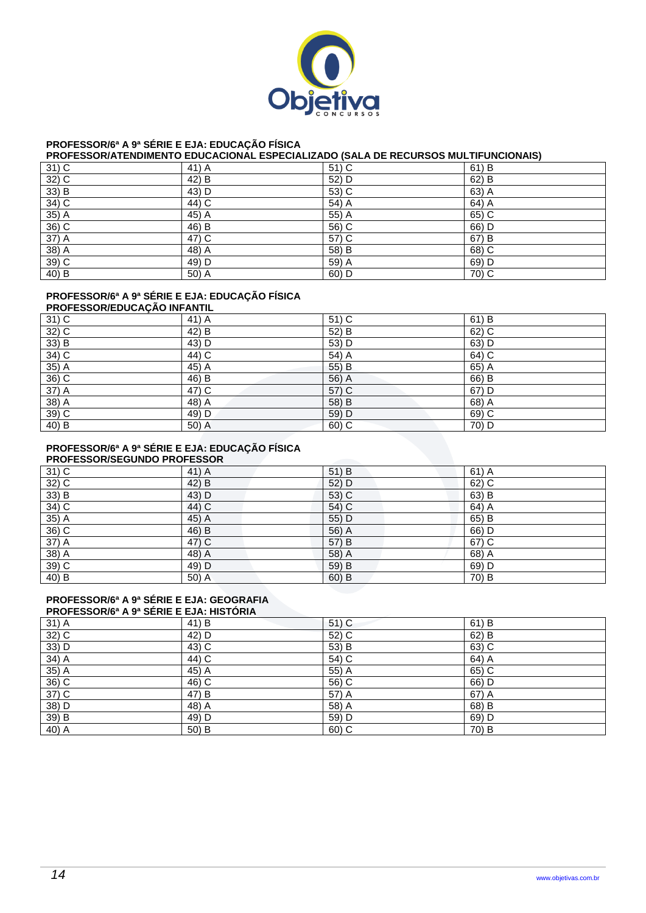

### **PROFESSOR/6ª A 9ª SÉRIE E EJA: EDUCAÇÃO FÍSICA**

#### **PROFESSOR/ATENDIMENTO EDUCACIONAL ESPECIALIZADO (SALA DE RECURSOS MULTIFUNCIONAIS)**

| $31)$ C                         | 41) A   | 51) C   | 61) B   |
|---------------------------------|---------|---------|---------|
| $32)$ C                         | 42) B   | 52) D   | $62)$ B |
| $\overline{33}$ $\overline{)B}$ | 43) D   | 53) C   | 63) A   |
| $34)$ C                         | $44)$ C | $54)$ A | $64)$ A |
| $35)$ A                         | $45)$ A | 55) A   | $65)$ C |
| $36)$ C                         | 46) B   | 56) C   | 66) D   |
| 37) A                           | 47) C   | 57) C   | 67) B   |
| $38)$ A                         | 48) A   | 58) B   | $68)$ C |
| $39)$ C                         | $49)$ D | 59) A   | 69) D   |
| $40)$ B                         | $50)$ A | 60) D   | $70)$ C |

#### **PROFESSOR/6ª A 9ª SÉRIE E EJA: EDUCAÇÃO FÍSICA**

| <b>PROFESSOR/EDUCAÇÃO INFANTIL</b> |       |         |       |  |
|------------------------------------|-------|---------|-------|--|
| $31)$ C                            | 41) A | $51)$ C | 61) B |  |
| $32)$ C                            | 42) B | 52) B   | 62) C |  |
| 33) B                              | 43) D | 53) D   | 63) D |  |
| $34)$ C                            | 44) C | 54) A   | 64) C |  |
| $35)$ A                            | 45) A | 55) B   | 65) A |  |
| 36) C                              | 46) B | 56) A   | 66) B |  |
| 37) A                              | 47) C | 57) C   | 67) D |  |
| $38)$ A                            | 48) A | 58) B   | 68) A |  |
| 39) C                              | 49) D | 59) D   | 69) C |  |
| 40) B                              | 50) A | $60)$ C | 70) D |  |

## **PROFESSOR/6ª A 9ª SÉRIE E EJA: EDUCAÇÃO FÍSICA**

| <b>PROFESSOR/SEGUNDO PROFESSOR</b> |       |         |         |  |  |
|------------------------------------|-------|---------|---------|--|--|
| $31)$ C                            | 41) A | $51$ B  | $61)$ A |  |  |
| $32)$ C                            | 42) B | 52) D   | $62)$ C |  |  |
| 33) B                              | 43) D | 53) C   | 63) B   |  |  |
| 34) C                              | 44) C | 54) C   | 64) A   |  |  |
| 35) A                              | 45) A | 55) D   | 65) B   |  |  |
| 36) C                              | 46) B | 56) A   | 66) D   |  |  |
| 37) A                              | 47) C | 57) B   | 67) C   |  |  |
| $38)$ A                            | 48) A | 58) A   | 68) A   |  |  |
| $39)$ C                            | 49) D | 59) B   | 69) D   |  |  |
| 40) B                              | 50) A | $60)$ B | 70) B   |  |  |

## **PROFESSOR/6ª A 9ª SÉRIE E EJA: GEOGRAFIA**

| <b>PROFESSOR/6<sup>a</sup> A 9<sup>a</sup> SÉRIE E EJA: HISTÓRIA</b> |       |         |         |  |  |
|----------------------------------------------------------------------|-------|---------|---------|--|--|
| 31) A                                                                | 41) B | $51)$ C | 61) B   |  |  |
| 32) C                                                                | 42) D | 52) C   | $62)$ B |  |  |
| 33) D                                                                | 43) C | 53) B   | 63) C   |  |  |
| 34) A                                                                | 44) C | 54) C   | 64) A   |  |  |
| 35) A                                                                | 45) A | 55) A   | 65) C   |  |  |
| $36)$ C                                                              | 46) C | 56) C   | 66) D   |  |  |
| 37) C                                                                | 47) B | 57) A   | 67) A   |  |  |
| 38) D                                                                | 48) A | 58) A   | 68) B   |  |  |
| 39) B                                                                | 49) D | 59) D   | 69) D   |  |  |
| 40) A                                                                | 50) B | $60)$ C | 70) B   |  |  |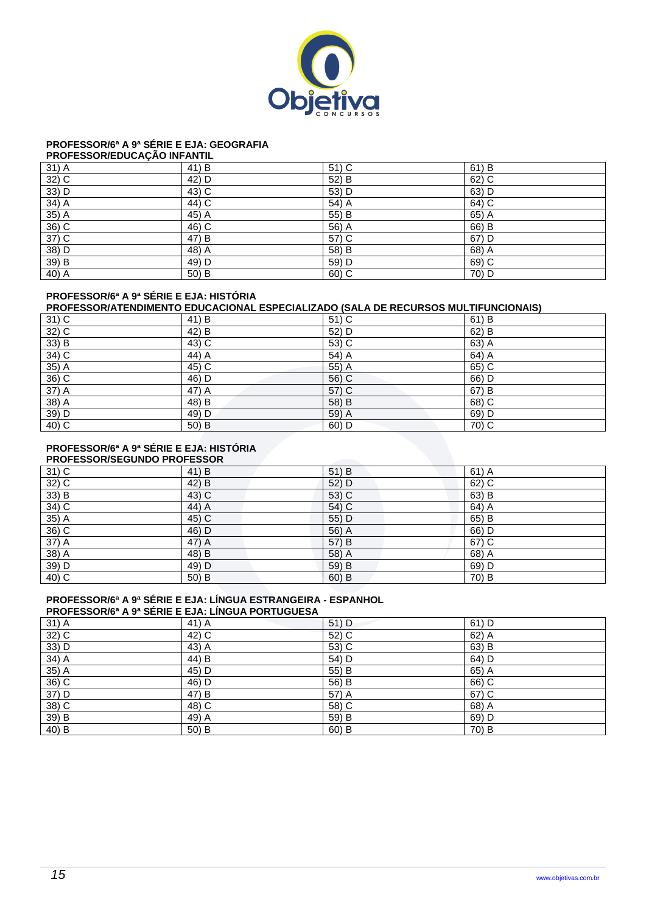

## **PROFESSOR/6ª A 9ª SÉRIE E EJA: GEOGRAFIA**

### **PROFESSOR/EDUCAÇÃO INFANTIL**

| 31) A   | 41) B   | 51) C | 61) B   |
|---------|---------|-------|---------|
| $32)$ C | 42) D   | 52) B | 62) C   |
| 33) D   | $43)$ C | 53) D | 63) D   |
| $34)$ A | $44)$ C | 54) A | $64)$ C |
| 35) A   | 45) A   | 55) B | $65)$ A |
| $36)$ C | $46)$ C | 56) A | 66) B   |
| $37)$ C | 47) B   | 57) C | $67)$ D |
| 38) D   | 48) A   | 58) B | 68) A   |
| 39) B   | 49) D   | 59) D | $69)$ C |
| $40)$ A | 50) B   | 60) C | 70) D   |

#### **PROFESSOR/6ª A 9ª SÉRIE E EJA: HISTÓRIA**

## **PROFESSOR/ATENDIMENTO EDUCACIONAL ESPECIALIZADO (SALA DE RECURSOS MULTIFUNCIONAIS)**

| $31)$ C             | 41) B   | 51) C   | 61) B   |
|---------------------|---------|---------|---------|
| $\frac{32}{33}$ B   | 42) B   | 52) D   | 62) B   |
|                     | $43)$ C | 53) C   | 63) A   |
| $34)$ C             | $44)$ A | 54) A   | 64) A   |
| $35)$ A             | $45)$ C | 55) A   | $65)$ C |
| $36)$ C             | $46)$ D | 56) C   | 66) D   |
| $37)$ A             | $47)$ A | $57)$ C | 67) B   |
| 38) A               | 48) B   | 58) B   | $68)$ C |
| 39) D               | 49) D   | 59) A   | 69) D   |
| $\overline{40}$ ) C | $50)$ B | $60)$ D | $70)$ C |

#### **PROFESSOR/6ª A 9ª SÉRIE E EJA: HISTÓRIA PROFESSOR/SEGUNDO PROFESSOR**

| <b>FINOL ESSOINSEGUNDO FINOL ESSOIN</b> |       |       |         |  |
|-----------------------------------------|-------|-------|---------|--|
| $31)$ C                                 | 41) B | 51) B | $61)$ A |  |
| 32) C                                   | 42) B | 52) D | 62) C   |  |
| $33)$ B                                 | 43) C | 53) C | 63) B   |  |
| 34) C                                   | 44) A | 54) C | 64) A   |  |
| $35)$ A                                 | 45) C | 55) D | 65) B   |  |
| 36) C                                   | 46) D | 56) A | 66) D   |  |
| 37) A                                   | 47) A | 57) B | 67) C   |  |
| 38) A                                   | 48) B | 58) A | 68) A   |  |
| 39) D                                   | 49) D | 59) B | 69) D   |  |
| 40) C                                   | 50) B | 60) B | 70) B   |  |

## **PROFESSOR/6ª A 9ª SÉRIE E EJA: LÍNGUA ESTRANGEIRA - ESPANHOL**

| <b>PROFESSOR/6ª A 9ª SÉRIE E EJA: LINGUA PORTUGUESA</b> |       |         |         |  |
|---------------------------------------------------------|-------|---------|---------|--|
| 31) A                                                   | 41) A | $51)$ D | $61)$ D |  |
| 32) C                                                   | 42) C | 52) C   | $62)$ A |  |
| 33) D                                                   | 43) A | 53) C   | 63) B   |  |
| $34)$ A                                                 | 44) B | 54) D   | 64) D   |  |
| 35) A                                                   | 45) D | 55) B   | 65) A   |  |
| $36)$ C                                                 | 46) D | 56) B   | 66) C   |  |
| 37) D                                                   | 47) B | 57) A   | $67)$ C |  |
| 38) C                                                   | 48) C | 58) C   | 68) A   |  |
| 39) B                                                   | 49) A | 59) B   | 69) D   |  |
| 40) B                                                   | 50) B | $60)$ B | 70) B   |  |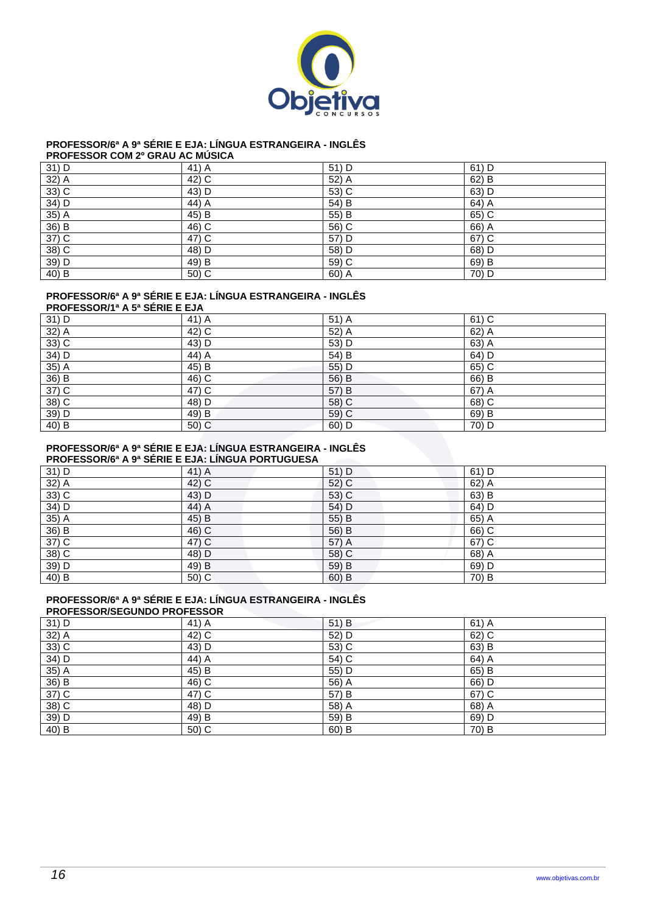

# **PROFESSOR/6ª A 9ª SÉRIE E EJA: LÍNGUA ESTRANGEIRA - INGLÊS**

| <b>PROFESSOR COM 2º GRAU AC MUSICA</b> |  |
|----------------------------------------|--|
|----------------------------------------|--|

| 31) D   | 41) A   | 51) D | 61) D |
|---------|---------|-------|-------|
| 32) A   | 42) C   | 52) A | 62) B |
| $33)$ C | 43) D   | 53) C | 63) D |
| 34) D   | 44) A   | 54) B | 64) A |
| $35)$ A | 45) B   | 55) B | 65) C |
| 36) B   | 46) C   | 56) C | 66) A |
| $37)$ C | 47) C   | 57) D | 67) C |
| $38)$ C | 48) D   | 58) D | 68) D |
| 39) D   | 49) B   | 59) C | 69) B |
| 40) B   | $50)$ C | 60) A | 70) D |

## **PROFESSOR/6ª A 9ª SÉRIE E EJA: LÍNGUA ESTRANGEIRA - INGLÊS**

| <b>PROFESSOR/1ª A 5ª SERIE E EJA</b> |       |         |         |  |
|--------------------------------------|-------|---------|---------|--|
| 31) D                                | 41) A | 51) A   | $61)$ C |  |
| $32)$ A                              | 42) C | 52) A   | 62) A   |  |
| $33)$ C                              | 43) D | 53) D   | 63) A   |  |
| 34) D                                | 44) A | 54) B   | 64) D   |  |
| $35)$ A                              | 45) B | 55) D   | 65) C   |  |
| 36) B                                | 46) C | 56) B   | 66) B   |  |
| 37) C                                | 47) C | 57) B   | 67) A   |  |
| $38)$ C                              | 48) D | 58) C   | 68) C   |  |
| 39) D                                | 49) B | 59) C   | 69) B   |  |
| 40) B                                | 50) C | $60)$ D | 70) D   |  |

## **PROFESSOR/6ª A 9ª SÉRIE E EJA: LÍNGUA ESTRANGEIRA - INGLÊS**

| <b>PROFESSOR/6ª A 9ª SERIE E EJA: LINGUA PORTUGUESA</b> |  |  |
|---------------------------------------------------------|--|--|
|                                                         |  |  |
|                                                         |  |  |
|                                                         |  |  |

|         | THOT EUGURIA THU UERIE E EURI EINGURT URTUGUEUR |         |       |  |  |
|---------|-------------------------------------------------|---------|-------|--|--|
| 31) D   | 41) A                                           | 51) D   | 61) D |  |  |
| $32)$ A | 42) C                                           | 52) C   | 62) A |  |  |
| 33) C   | 43) D                                           | 53) C   | 63) B |  |  |
| 34) D   | 44) A                                           | 54) D   | 64) D |  |  |
| 35) A   | 45) B                                           | 55) B   | 65) A |  |  |
| 36) B   | 46) C                                           | 56) B   | 66) C |  |  |
| 37) C   | 47) C                                           | 57) A   | 67) C |  |  |
| $38)$ C | 48) D                                           | 58) C   | 68) A |  |  |
| 39) D   | 49) B                                           | 59) B   | 69) D |  |  |
| 40) B   | 50) C                                           | $60)$ B | 70) B |  |  |

## **PROFESSOR/6ª A 9ª SÉRIE E EJA: LÍNGUA ESTRANGEIRA - INGLÊS**

| <b>PROFESSOR/SEGUNDO PROFESSOR</b> |       |       |         |  |
|------------------------------------|-------|-------|---------|--|
| 31) D                              | 41) A | 51) B | $61)$ A |  |
| 32) A                              | 42) C | 52) D | 62) C   |  |
| $33)$ C                            | 43) D | 53) C | 63) B   |  |
| 34) D                              | 44) A | 54) C | 64) A   |  |
| 35) A                              | 45) B | 55) D | 65) B   |  |
| 36) B                              | 46) C | 56) A | 66) D   |  |
| 37) C                              | 47) C | 57) B | 67) C   |  |
| 38) C                              | 48) D | 58) A | 68) A   |  |
| 39) D                              | 49) B | 59) B | 69) D   |  |
| 40) B                              | 50) C | 60) B | 70) B   |  |